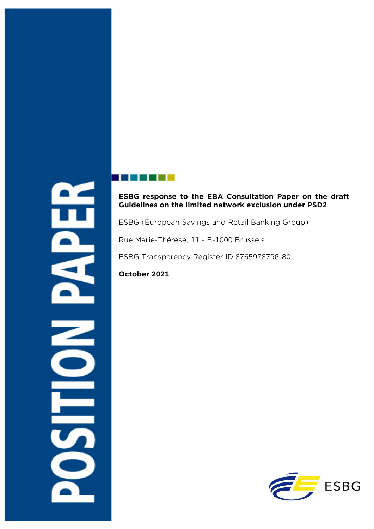## **ESBG response to the EBA Consultation Paper on the draft Guidelines on the limited network exclusion under PSD2**

ESBG (European Savings and Retail Banking Group)

Rue Marie-Thérèse, 11 - B-1000 Brussels

ESBG Transparency Register ID 8765978796-80

## **October 2021**

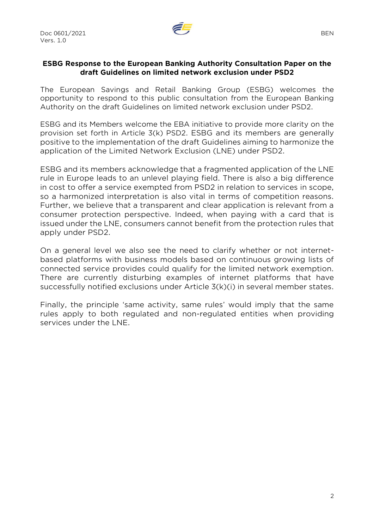

## **ESBG Response to the European Banking Authority Consultation Paper on the draft Guidelines on limited network exclusion under PSD2**

The European Savings and Retail Banking Group (ESBG) welcomes the opportunity to respond to this public consultation from the European Banking Authority on the draft Guidelines on limited network exclusion under PSD2.

ESBG and its Members welcome the EBA initiative to provide more clarity on the provision set forth in Article 3(k) PSD2. ESBG and its members are generally positive to the implementation of the draft Guidelines aiming to harmonize the application of the Limited Network Exclusion (LNE) under PSD2.

ESBG and its members acknowledge that a fragmented application of the LNE rule in Europe leads to an unlevel playing field. There is also a big difference in cost to offer a service exempted from PSD2 in relation to services in scope, so a harmonized interpretation is also vital in terms of competition reasons. Further, we believe that a transparent and clear application is relevant from a consumer protection perspective. Indeed, when paying with a card that is issued under the LNE, consumers cannot benefit from the protection rules that apply under PSD2.

On a general level we also see the need to clarify whether or not internetbased platforms with business models based on continuous growing lists of connected service provides could qualify for the limited network exemption. There are currently disturbing examples of internet platforms that have successfully notified exclusions under Article 3(k)(i) in several member states.

Finally, the principle 'same activity, same rules' would imply that the same rules apply to both regulated and non-regulated entities when providing services under the LNE.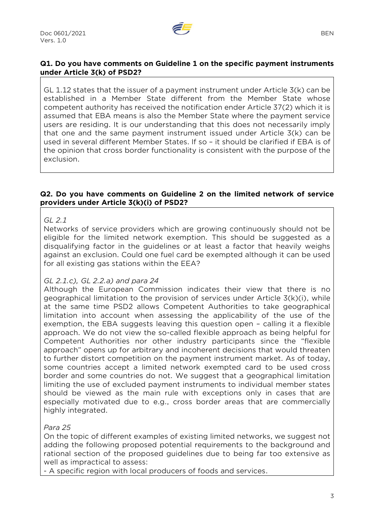

## **Q1. Do you have comments on Guideline 1 on the specific payment instruments under Article 3(k) of PSD2?**

GL 1.12 states that the issuer of a payment instrument under Article  $3(k)$  can be established in a Member State different from the Member State whose competent authority has received the notification ender Article 37(2) which it is assumed that EBA means is also the Member State where the payment service users are residing. It is our understanding that this does not necessarily imply that one and the same payment instrument issued under Article 3(k) can be used in several different Member States. If so – it should be clarified if EBA is of the opinion that cross border functionality is consistent with the purpose of the exclusion.

#### **Q2. Do you have comments on Guideline 2 on the limited network of service providers under Article 3(k)(i) of PSD2?**

#### *GL 2.1*

Networks of service providers which are growing continuously should not be eligible for the limited network exemption. This should be suggested as a disqualifying factor in the guidelines or at least a factor that heavily weighs against an exclusion. Could one fuel card be exempted although it can be used for all existing gas stations within the EEA?

#### *GL 2.1.c), GL 2.2.a) and para 24*

Although the European Commission indicates their view that there is no geographical limitation to the provision of services under Article 3(k)(i), while at the same time PSD2 allows Competent Authorities to take geographical limitation into account when assessing the applicability of the use of the exemption, the EBA suggests leaving this question open – calling it a flexible approach. We do not view the so-called flexible approach as being helpful for Competent Authorities nor other industry participants since the "flexible approach" opens up for arbitrary and incoherent decisions that would threaten to further distort competition on the payment instrument market. As of today, some countries accept a limited network exempted card to be used cross border and some countries do not. We suggest that a geographical limitation limiting the use of excluded payment instruments to individual member states should be viewed as the main rule with exceptions only in cases that are especially motivated due to e.g., cross border areas that are commercially highly integrated.

#### *Para 25*

On the topic of different examples of existing limited networks, we suggest not adding the following proposed potential requirements to the background and rational section of the proposed guidelines due to being far too extensive as well as impractical to assess:

- A specific region with local producers of foods and services.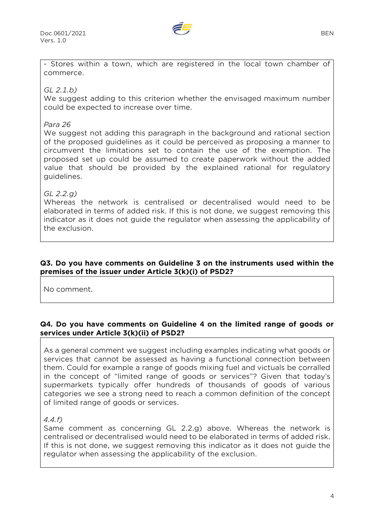

- Stores within a town, which are registered in the local town chamber of commerce.

*GL 2.1.b)*

We suggest adding to this criterion whether the envisaged maximum number could be expected to increase over time.

### *Para 26*

We suggest not adding this paragraph in the background and rational section of the proposed guidelines as it could be perceived as proposing a manner to circumvent the limitations set to contain the use of the exemption. The proposed set up could be assumed to create paperwork without the added value that should be provided by the explained rational for regulatory guidelines.

## *GL 2.2.g)*

Whereas the network is centralised or decentralised would need to be elaborated in terms of added risk. If this is not done, we suggest removing this indicator as it does not guide the regulator when assessing the applicability of the exclusion.

#### **Q3. Do you have comments on Guideline 3 on the instruments used within the premises of the issuer under Article 3(k)(i) of PSD2?**

No comment.

## **Q4. Do you have comments on Guideline 4 on the limited range of goods or services under Article 3(k)(ii) of PSD2?**

As a general comment we suggest including examples indicating what goods or services that cannot be assessed as having a functional connection between them. Could for example a range of goods mixing fuel and victuals be corralled in the concept of "limited range of goods or services"? Given that today's supermarkets typically offer hundreds of thousands of goods of various categories we see a strong need to reach a common definition of the concept of limited range of goods or services.

*4.4.f)* 

Same comment as concerning GL 2.2.g) above. Whereas the network is centralised or decentralised would need to be elaborated in terms of added risk. If this is not done, we suggest removing this indicator as it does not guide the regulator when assessing the applicability of the exclusion.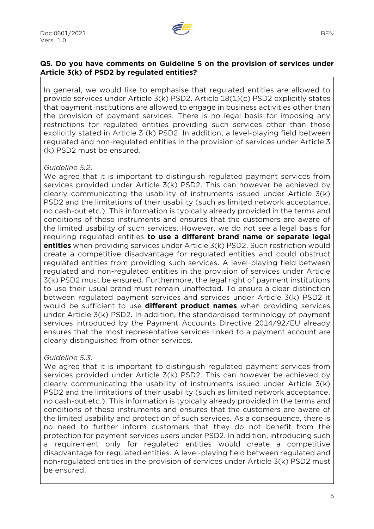

## **Q5. Do you have comments on Guideline 5 on the provision of services under Article 3(k) of PSD2 by regulated entities?**

In general, we would like to emphasise that regulated entities are allowed to provide services under Article 3(k) PSD2. Article 18(1)(c) PSD2 explicitly states that payment institutions are allowed to engage in business activities other than the provision of payment services. There is no legal basis for imposing any restrictions for regulated entities providing such services other than those explicitly stated in Article 3 (k) PSD2. In addition, a level-playing field between regulated and non-regulated entities in the provision of services under Article 3 (k) PSD2 must be ensured.

#### *Guideline 5.2.*

We agree that it is important to distinguish regulated payment services from services provided under Article 3(k) PSD2. This can however be achieved by clearly communicating the usability of instruments issued under Article 3(k) PSD2 and the limitations of their usability (such as limited network acceptance, no cash-out etc.). This information is typically already provided in the terms and conditions of these instruments and ensures that the customers are aware of the limited usability of such services. However, we do not see a legal basis for requiring regulated entities **to use a different brand name or separate legal entities** when providing services under Article 3(k) PSD2. Such restriction would create a competitive disadvantage for regulated entities and could obstruct regulated entities from providing such services. A level-playing field between regulated and non-regulated entities in the provision of services under Article 3(k) PSD2 must be ensured. Furthermore, the legal right of payment institutions to use their usual brand must remain unaffected. To ensure a clear distinction between regulated payment services and services under Article 3(k) PSD2 it would be sufficient to use **different product names** when providing services under Article 3(k) PSD2. In addition, the standardised terminology of payment services introduced by the Payment Accounts Directive 2014/92/EU already ensures that the most representative services linked to a payment account are clearly distinguished from other services.

## *Guideline 5.3.*

We agree that it is important to distinguish regulated payment services from services provided under Article 3(k) PSD2. This can however be achieved by clearly communicating the usability of instruments issued under Article 3(k) PSD2 and the limitations of their usability (such as limited network acceptance, no cash-out etc.). This information is typically already provided in the terms and conditions of these instruments and ensures that the customers are aware of the limited usability and protection of such services. As a consequence, there is no need to further inform customers that they do not benefit from the protection for payment services users under PSD2. In addition, introducing such a requirement only for regulated entities would create a competitive disadvantage for regulated entities. A level-playing field between regulated and non-regulated entities in the provision of services under Article 3(k) PSD2 must be ensured.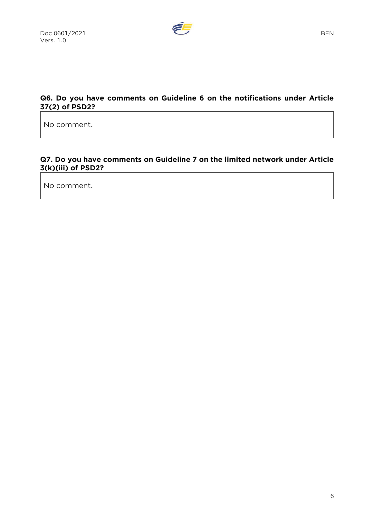

## **Q6. Do you have comments on Guideline 6 on the notifications under Article 37(2) of PSD2?**

No comment.

## **Q7. Do you have comments on Guideline 7 on the limited network under Article 3(k)(iii) of PSD2?**

No comment.